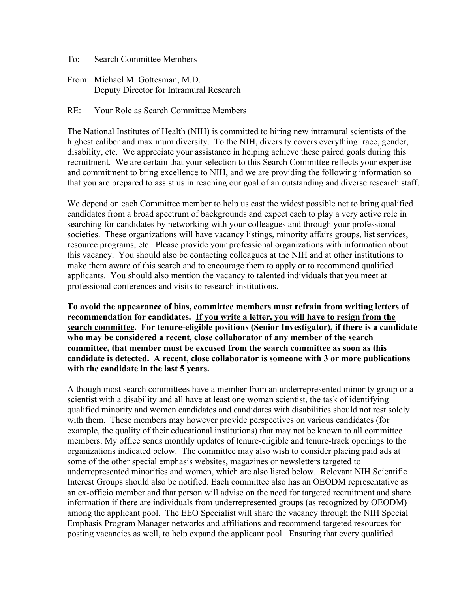To: Search Committee Members

From: Michael M. Gottesman, M.D. Deputy Director for Intramural Research

RE: Your Role as Search Committee Members

The National Institutes of Health (NIH) is committed to hiring new intramural scientists of the highest caliber and maximum diversity. To the NIH, diversity covers everything: race, gender, disability, etc. We appreciate your assistance in helping achieve these paired goals during this recruitment. We are certain that your selection to this Search Committee reflects your expertise and commitment to bring excellence to NIH, and we are providing the following information so that you are prepared to assist us in reaching our goal of an outstanding and diverse research staff.

We depend on each Committee member to help us cast the widest possible net to bring qualified candidates from a broad spectrum of backgrounds and expect each to play a very active role in searching for candidates by networking with your colleagues and through your professional societies. These organizations will have vacancy listings, minority affairs groups, list services, resource programs, etc. Please provide your professional organizations with information about this vacancy. You should also be contacting colleagues at the NIH and at other institutions to make them aware of this search and to encourage them to apply or to recommend qualified applicants. You should also mention the vacancy to talented individuals that you meet at professional conferences and visits to research institutions.

**To avoid the appearance of bias, committee members must refrain from writing letters of recommendation for candidates. If you write a letter, you will have to resign from the search committee. For tenure-eligible positions (Senior Investigator), if there is a candidate who may be considered a recent, close collaborator of any member of the search committee, that member must be excused from the search committee as soon as this candidate is detected. A recent, close collaborator is someone with 3 or more publications with the candidate in the last 5 years.**

Although most search committees have a member from an underrepresented minority group or a scientist with a disability and all have at least one woman scientist, the task of identifying qualified minority and women candidates and candidates with disabilities should not rest solely with them. These members may however provide perspectives on various candidates (for example, the quality of their educational institutions) that may not be known to all committee members. My office sends monthly updates of tenure-eligible and tenure-track openings to the organizations indicated below. The committee may also wish to consider placing paid ads at some of the other special emphasis websites, magazines or newsletters targeted to underrepresented minorities and women, which are also listed below. Relevant NIH Scientific Interest Groups should also be notified. Each committee also has an OEODM representative as an ex-officio member and that person will advise on the need for targeted recruitment and share information if there are individuals from underrepresented groups (as recognized by OEODM) among the applicant pool. The EEO Specialist will share the vacancy through the NIH Special Emphasis Program Manager networks and affiliations and recommend targeted resources for posting vacancies as well, to help expand the applicant pool. Ensuring that every qualified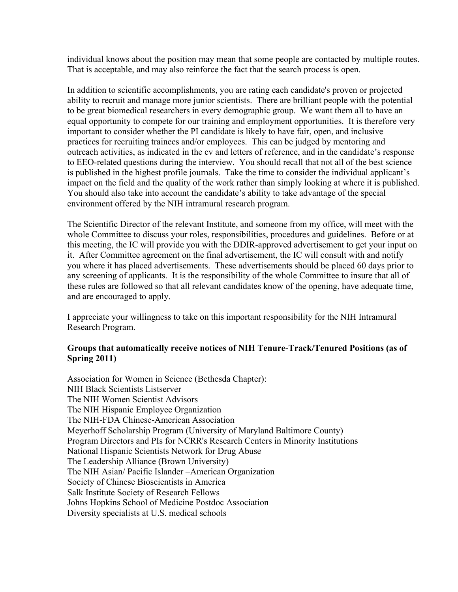individual knows about the position may mean that some people are contacted by multiple routes. That is acceptable, and may also reinforce the fact that the search process is open.

In addition to scientific accomplishments, you are rating each candidate's proven or projected ability to recruit and manage more junior scientists. There are brilliant people with the potential to be great biomedical researchers in every demographic group. We want them all to have an equal opportunity to compete for our training and employment opportunities. It is therefore very important to consider whether the PI candidate is likely to have fair, open, and inclusive practices for recruiting trainees and/or employees. This can be judged by mentoring and outreach activities, as indicated in the cv and letters of reference, and in the candidate's response to EEO-related questions during the interview. You should recall that not all of the best science is published in the highest profile journals. Take the time to consider the individual applicant's impact on the field and the quality of the work rather than simply looking at where it is published. You should also take into account the candidate's ability to take advantage of the special environment offered by the NIH intramural research program.

The Scientific Director of the relevant Institute, and someone from my office, will meet with the whole Committee to discuss your roles, responsibilities, procedures and guidelines. Before or at this meeting, the IC will provide you with the DDIR-approved advertisement to get your input on it. After Committee agreement on the final advertisement, the IC will consult with and notify you where it has placed advertisements. These advertisements should be placed 60 days prior to any screening of applicants. It is the responsibility of the whole Committee to insure that all of these rules are followed so that all relevant candidates know of the opening, have adequate time, and are encouraged to apply.

I appreciate your willingness to take on this important responsibility for the NIH Intramural Research Program.

## **Groups that automatically receive notices of NIH Tenure-Track/Tenured Positions (as of Spring 2011)**

Association for Women in Science (Bethesda Chapter): NIH Black Scientists Listserver The NIH Women Scientist Advisors The NIH Hispanic Employee Organization The NIH-FDA Chinese-American Association Meyerhoff Scholarship Program (University of Maryland Baltimore County) Program Directors and PIs for NCRR's Research Centers in Minority Institutions National Hispanic Scientists Network for Drug Abuse The Leadership Alliance (Brown University) The NIH Asian/ Pacific Islander –American Organization Society of Chinese Bioscientists in America Salk Institute Society of Research Fellows Johns Hopkins School of Medicine Postdoc Association Diversity specialists at U.S. medical schools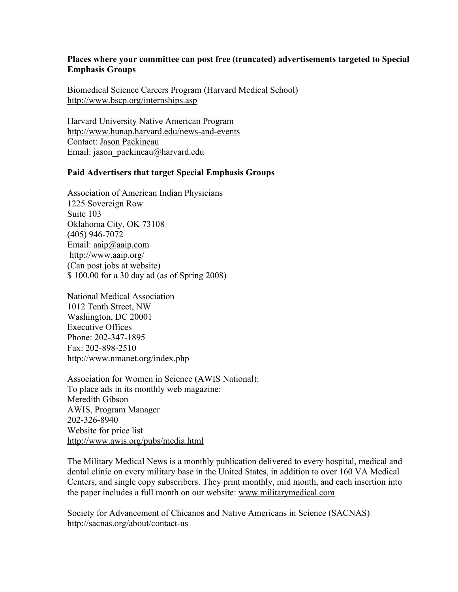## **Places where your committee can post free (truncated) advertisements targeted to Special Emphasis Groups**

Biomedical Science Careers Program (Harvard Medical School) http://www.bscp.org/internships.asp

Harvard University Native American Program http://www.hunap.harvard.edu/news-and-events Contact: Jason Packineau Email: jason\_packineau@harvard.edu

## **Paid Advertisers that target Special Emphasis Groups**

Association of American Indian Physicians 1225 Sovereign Row Suite 103 Oklahoma City, OK 73108 (405) 946-7072 Email: <u>aaip</u>@aaip.com http://www.aaip.org/ (Can post jobs at website) \$ 100.00 for a 30 day ad (as of Spring 2008)

National Medical Association 1012 Tenth Street, NW Washington, DC 20001 Executive Offices Phone: 202-347-1895 Fax: 202-898-2510 http://www.nmanet.org/index.php

Association for Women in Science (AWIS National): To place ads in its monthly web magazine: Meredith Gibson AWIS, Program Manager 202-326-8940 Website for price list http://www.awis.org/pubs/media.html

The Military Medical News is a monthly publication delivered to every hospital, medical and dental clinic on every military base in the United States, in addition to over 160 VA Medical Centers, and single copy subscribers. They print monthly, mid month, and each insertion into the paper includes a full month on our website: www.militarymedical.com

Society for Advancement of Chicanos and Native Americans in Science (SACNAS) http://sacnas.org/about/contact-us